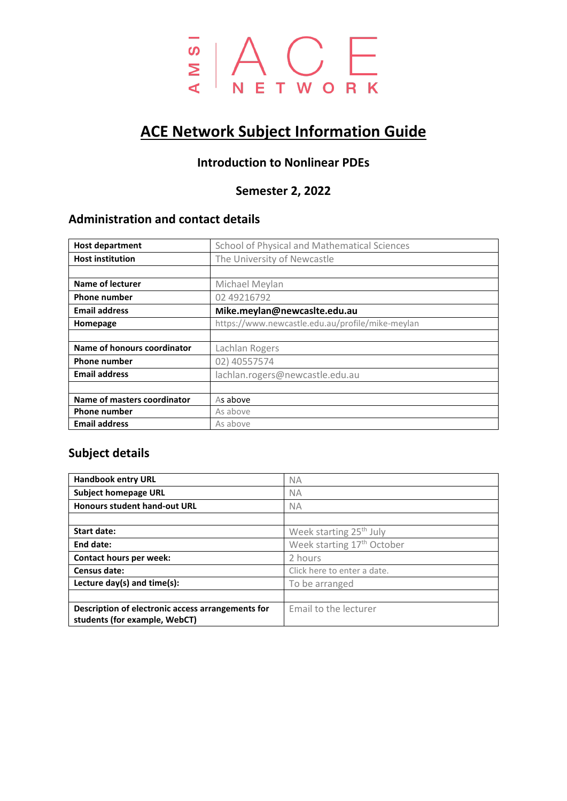

# **ACE Network Subject Information Guide**

## **Introduction to Nonlinear PDEs**

### **Semester 2, 2022**

# **Administration and contact details**

| <b>Host department</b>      | School of Physical and Mathematical Sciences     |  |
|-----------------------------|--------------------------------------------------|--|
| <b>Host institution</b>     | The University of Newcastle                      |  |
|                             |                                                  |  |
| Name of lecturer            | Michael Meylan                                   |  |
| <b>Phone number</b>         | 02 49216792                                      |  |
| <b>Email address</b>        | Mike.meylan@newcaslte.edu.au                     |  |
| Homepage                    | https://www.newcastle.edu.au/profile/mike-meylan |  |
|                             |                                                  |  |
| Name of honours coordinator | Lachlan Rogers                                   |  |
| <b>Phone number</b>         | 02) 40557574                                     |  |
| <b>Email address</b>        | lachlan.rogers@newcastle.edu.au                  |  |
|                             |                                                  |  |
| Name of masters coordinator | As above                                         |  |
| <b>Phone number</b>         | As above                                         |  |
| <b>Email address</b>        | As above                                         |  |

#### **Subject details**

| <b>Handbook entry URL</b>                                                          | <b>NA</b>                              |
|------------------------------------------------------------------------------------|----------------------------------------|
| <b>Subject homepage URL</b>                                                        | ΝA                                     |
| <b>Honours student hand-out URL</b>                                                | <b>NA</b>                              |
|                                                                                    |                                        |
| <b>Start date:</b>                                                                 | Week starting 25 <sup>th</sup> July    |
| End date:                                                                          | Week starting 17 <sup>th</sup> October |
| Contact hours per week:                                                            | 2 hours                                |
| Census date:                                                                       | Click here to enter a date.            |
| Lecture day(s) and time(s):                                                        | To be arranged                         |
|                                                                                    |                                        |
| Description of electronic access arrangements for<br>students (for example, WebCT) | Email to the lecturer                  |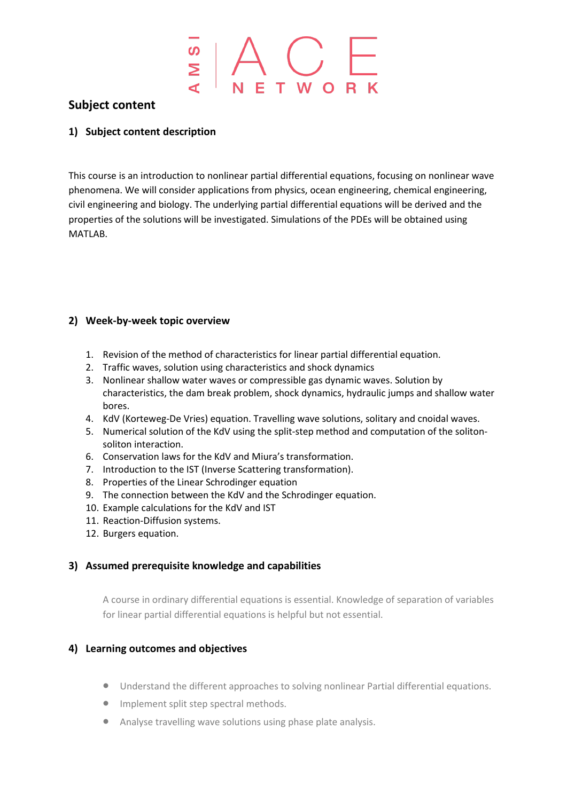#### **Subject content**

#### **1) Subject content description**

This course is an introduction to nonlinear partial differential equations, focusing on nonlinear wave phenomena. We will consider applications from physics, ocean engineering, chemical engineering, civil engineering and biology. The underlying partial differential equations will be derived and the properties of the solutions will be investigated. Simulations of the PDEs will be obtained using MATLAB.

#### **2) Week-by-week topic overview**

- 1. Revision of the method of characteristics for linear partial differential equation.
- 2. Traffic waves, solution using characteristics and shock dynamics
- 3. Nonlinear shallow water waves or compressible gas dynamic waves. Solution by characteristics, the dam break problem, shock dynamics, hydraulic jumps and shallow water bores.
- 4. KdV (Korteweg-De Vries) equation. Travelling wave solutions, solitary and cnoidal waves.
- 5. Numerical solution of the KdV using the split-step method and computation of the solitonsoliton interaction.
- 6. Conservation laws for the KdV and Miura's transformation.
- 7. Introduction to the IST (Inverse Scattering transformation).
- 8. Properties of the Linear Schrodinger equation
- 9. The connection between the KdV and the Schrodinger equation.
- 10. Example calculations for the KdV and IST
- 11. Reaction-Diffusion systems.
- 12. Burgers equation.

#### **3) Assumed prerequisite knowledge and capabilities**

A course in ordinary differential equations is essential. Knowledge of separation of variables for linear partial differential equations is helpful but not essential.

#### **4) Learning outcomes and objectives**

- Understand the different approaches to solving nonlinear Partial differential equations.
- Implement split step spectral methods.
- Analyse travelling wave solutions using phase plate analysis.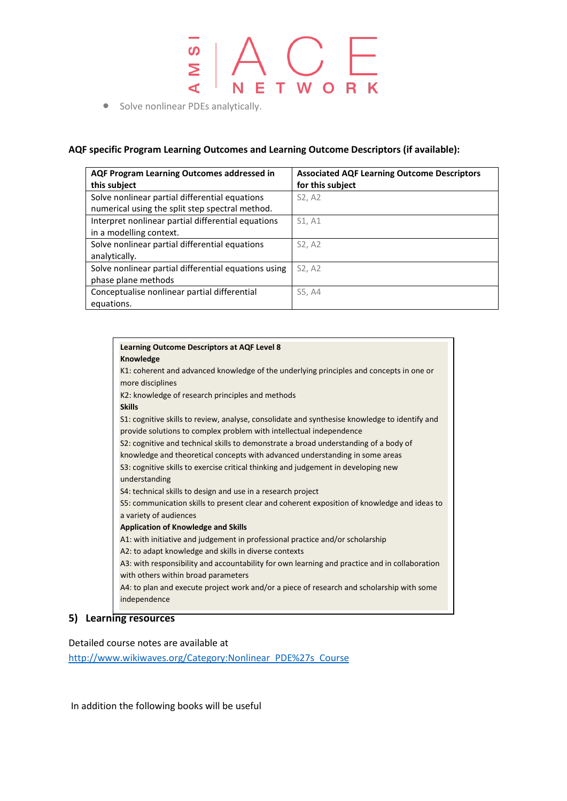# $\frac{1}{\frac{S}{R}}\left|\bigwedge_{N\in\mathsf{T}}\bigcup_{W\subset\mathsf{R}}\left|\bigwedge_{N\in\mathsf{T}}\mathsf{W}\right|\right|$ S<br>M  $\overline{\mathbf{C}}$

#### **AQF specific Program Learning Outcomes and Learning Outcome Descriptors (if available):**

| AQF Program Learning Outcomes addressed in<br>this subject                                        | <b>Associated AQF Learning Outcome Descriptors</b><br>for this subject |
|---------------------------------------------------------------------------------------------------|------------------------------------------------------------------------|
| Solve nonlinear partial differential equations<br>numerical using the split step spectral method. | S2, A2                                                                 |
| Interpret nonlinear partial differential equations<br>in a modelling context.                     | S1, A1                                                                 |
| Solve nonlinear partial differential equations<br>analytically.                                   | S2, A2                                                                 |
| Solve nonlinear partial differential equations using<br>phase plane methods                       | S2, A2                                                                 |
| Conceptualise nonlinear partial differential<br>equations.                                        | S5, A4                                                                 |

| <b>Learning Outcome Descriptors at AQF Level 8</b>                                            |
|-----------------------------------------------------------------------------------------------|
| Knowledge                                                                                     |
| K1: coherent and advanced knowledge of the underlying principles and concepts in one or       |
| more disciplines                                                                              |
| K2: knowledge of research principles and methods                                              |
| <b>Skills</b>                                                                                 |
| S1: cognitive skills to review, analyse, consolidate and synthesise knowledge to identify and |
| provide solutions to complex problem with intellectual independence                           |
| S2: cognitive and technical skills to demonstrate a broad understanding of a body of          |
| knowledge and theoretical concepts with advanced understanding in some areas                  |
| S3: cognitive skills to exercise critical thinking and judgement in developing new            |
| understanding                                                                                 |
| S4: technical skills to design and use in a research project                                  |
| S5: communication skills to present clear and coherent exposition of knowledge and ideas to   |
| a variety of audiences                                                                        |
| <b>Application of Knowledge and Skills</b>                                                    |
| A1: with initiative and judgement in professional practice and/or scholarship                 |
| A2: to adapt knowledge and skills in diverse contexts                                         |
| A3: with responsibility and accountability for own learning and practice and in collaboration |
| with others within broad parameters                                                           |
| A4: to plan and execute project work and/or a piece of research and scholarship with some     |
| independence                                                                                  |
|                                                                                               |

#### **5) Learning resources**

Detailed course notes are available at

[http://www.wikiwaves.org/Category:Nonlinear\\_PDE%27s\\_Course](http://www.wikiwaves.org/Category:Nonlinear_PDE%27s_Course)

In addition the following books will be useful